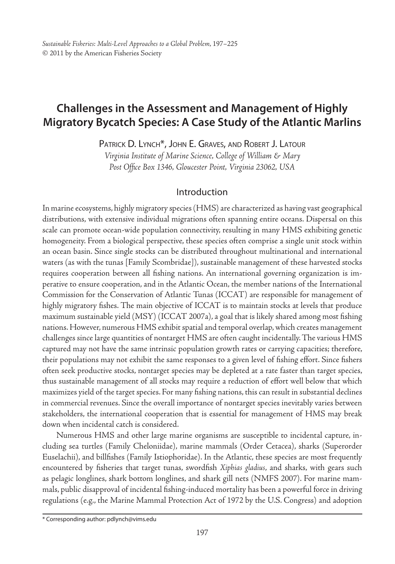# **Challenges in the Assessment and Management of Highly Migratory Bycatch Species: A Case Study of the Atlantic Marlins**

PATRICK D. LYNCH<sup>\*</sup>, JOHN E. GRAVES, AND ROBERT J. LATOUR

*Virginia Institute of Marine Science, College of William & Mary Post Office Box 1346, Gloucester Point, Virginia 23062, USA*

## Introduction

In marine ecosystems, highly migratory species (HMS) are characterized as having vast geographical distributions, with extensive individual migrations often spanning entire oceans. Dispersal on this scale can promote ocean-wide population connectivity, resulting in many HMS exhibiting genetic homogeneity. From a biological perspective, these species often comprise a single unit stock within an ocean basin. Since single stocks can be distributed throughout multinational and international waters (as with the tunas [Family Scombridae]), sustainable management of these harvested stocks requires cooperation between all fishing nations. An international governing organization is imperative to ensure cooperation, and in the Atlantic Ocean, the member nations of the International Commission for the Conservation of Atlantic Tunas (ICCAT) are responsible for management of highly migratory fishes. The main objective of ICCAT is to maintain stocks at levels that produce maximum sustainable yield (MSY) (ICCAT 2007a), a goal that is likely shared among most fishing nations. However, numerous HMS exhibit spatial and temporal overlap, which creates management challenges since large quantities of nontarget HMS are often caught incidentally. The various HMS captured may not have the same intrinsic population growth rates or carrying capacities; therefore, their populations may not exhibit the same responses to a given level of fishing effort. Since fishers often seek productive stocks, nontarget species may be depleted at a rate faster than target species, thus sustainable management of all stocks may require a reduction of effort well below that which maximizes yield of the target species. For many fishing nations, this can result in substantial declines in commercial revenues. Since the overall importance of nontarget species inevitably varies between stakeholders, the international cooperation that is essential for management of HMS may break down when incidental catch is considered.

Numerous HMS and other large marine organisms are susceptible to incidental capture, including sea turtles (Family Cheloniidae), marine mammals (Order Cetacea), sharks (Superorder Euselachii), and billfishes (Family Istiophoridae). In the Atlantic, these species are most frequently encountered by fisheries that target tunas, swordfish *Xiphias gladius*, and sharks, with gears such as pelagic longlines, shark bottom longlines, and shark gill nets (NMFS 2007). For marine mammals, public disapproval of incidental fishing-induced mortality has been a powerful force in driving regulations (e.g., the Marine Mammal Protection Act of 1972 by the U.S. Congress) and adoption

<sup>\*</sup> Corresponding author: pdlynch@vims.edu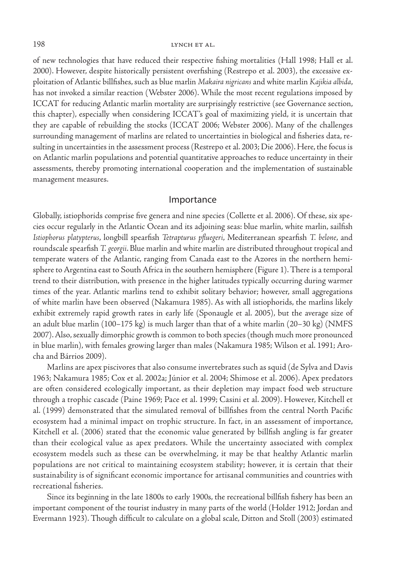of new technologies that have reduced their respective fishing mortalities (Hall 1998; Hall et al. 2000). However, despite historically persistent overfishing (Restrepo et al. 2003), the excessive exploitation of Atlantic billfishes, such as blue marlin *Makaira nigricans* and white marlin *Kajikia albida*, has not invoked a similar reaction (Webster 2006). While the most recent regulations imposed by ICCAT for reducing Atlantic marlin mortality are surprisingly restrictive (see Governance section, this chapter), especially when considering ICCAT's goal of maximizing yield, it is uncertain that they are capable of rebuilding the stocks (ICCAT 2006; Webster 2006). Many of the challenges surrounding management of marlins are related to uncertainties in biological and fisheries data, resulting in uncertainties in the assessment process (Restrepo et al. 2003; Die 2006). Here, the focus is on Atlantic marlin populations and potential quantitative approaches to reduce uncertainty in their assessments, thereby promoting international cooperation and the implementation of sustainable management measures.

## Importance

Globally, istiophorids comprise five genera and nine species (Collette et al. 2006). Of these, six species occur regularly in the Atlantic Ocean and its adjoining seas: blue marlin, white marlin, sailfish *Istiophorus platypterus*, longbill spearfish *Tetrapturus pfluegeri*, Mediterranean spearfish *T. belone*, and roundscale spearfish *T. georgii*. Blue marlin and white marlin are distributed throughout tropical and temperate waters of the Atlantic, ranging from Canada east to the Azores in the northern hemisphere to Argentina east to South Africa in the southern hemisphere (Figure 1). There is a temporal trend to their distribution, with presence in the higher latitudes typically occurring during warmer times of the year. Atlantic marlins tend to exhibit solitary behavior; however, small aggregations of white marlin have been observed (Nakamura 1985). As with all istiophorids, the marlins likely exhibit extremely rapid growth rates in early life (Sponaugle et al. 2005), but the average size of an adult blue marlin (100–175 kg) is much larger than that of a white marlin (20–30 kg) (NMFS 2007). Also, sexually dimorphic growth is common to both species (though much more pronounced in blue marlin), with females growing larger than males (Nakamura 1985; Wilson et al. 1991; Arocha and Bárrios 2009).

Marlins are apex piscivores that also consume invertebrates such as squid (de Sylva and Davis 1963; Nakamura 1985; Cox et al. 2002a; Júnior et al. 2004; Shimose et al. 2006). Apex predators are often considered ecologically important, as their depletion may impact food web structure through a trophic cascade (Paine 1969; Pace et al. 1999; Casini et al. 2009). However, Kitchell et al. (1999) demonstrated that the simulated removal of billfishes from the central North Pacific ecosystem had a minimal impact on trophic structure. In fact, in an assessment of importance, Kitchell et al. (2006) stated that the economic value generated by billfish angling is far greater than their ecological value as apex predators. While the uncertainty associated with complex ecosystem models such as these can be overwhelming, it may be that healthy Atlantic marlin populations are not critical to maintaining ecosystem stability; however, it is certain that their sustainability is of significant economic importance for artisanal communities and countries with recreational fisheries.

Since its beginning in the late 1800s to early 1900s, the recreational billfish fishery has been an important component of the tourist industry in many parts of the world (Holder 1912; Jordan and Evermann 1923). Though difficult to calculate on a global scale, Ditton and Stoll (2003) estimated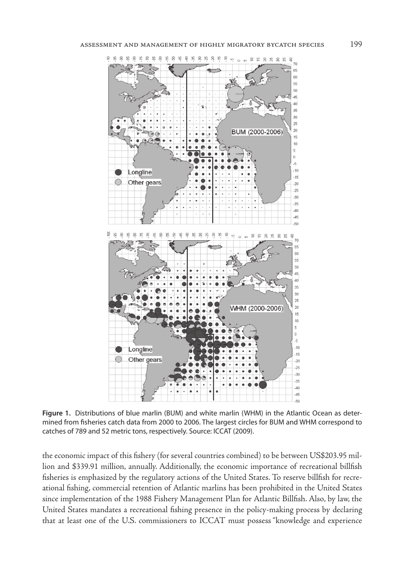

**Figure 1.** Distributions of blue marlin (BUM) and white marlin (WHM) in the Atlantic Ocean as determined from fisheries catch data from 2000 to 2006. The largest circles for BUM and WHM correspond to catches of 789 and 52 metric tons, respectively. Source: ICCAT (2009).

the economic impact of this fishery (for several countries combined) to be between US\$203.95 million and \$339.91 million, annually. Additionally, the economic importance of recreational billfish fisheries is emphasized by the regulatory actions of the United States. To reserve billfish for recreational fishing, commercial retention of Atlantic marlins has been prohibited in the United States since implementation of the 1988 Fishery Management Plan for Atlantic Billfish. Also, by law, the United States mandates a recreational fishing presence in the policy-making process by declaring that at least one of the U.S. commissioners to ICCAT must possess "knowledge and experience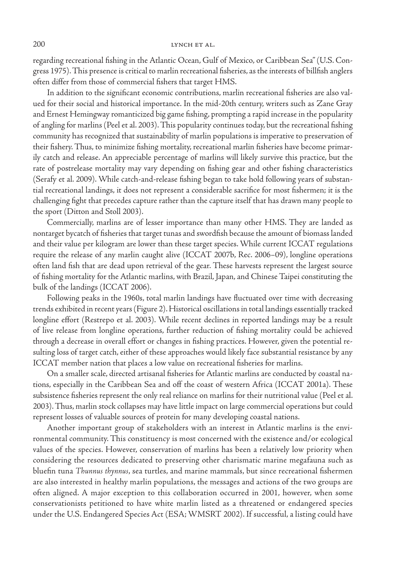#### 200 LYNCH ET AL.

regarding recreational fishing in the Atlantic Ocean, Gulf of Mexico, or Caribbean Sea" (U.S. Congress 1975). This presence is critical to marlin recreational fisheries, as the interests of billfish anglers often differ from those of commercial fishers that target HMS.

In addition to the significant economic contributions, marlin recreational fisheries are also valued for their social and historical importance. In the mid-20th century, writers such as Zane Gray and Ernest Hemingway romanticized big game fishing, prompting a rapid increase in the popularity of angling for marlins (Peel et al. 2003). This popularity continues today, but the recreational fishing community has recognized that sustainability of marlin populations is imperative to preservation of their fishery. Thus, to minimize fishing mortality, recreational marlin fisheries have become primarily catch and release. An appreciable percentage of marlins will likely survive this practice, but the rate of postrelease mortality may vary depending on fishing gear and other fishing characteristics (Serafy et al. 2009). While catch-and-release fishing began to take hold following years of substantial recreational landings, it does not represent a considerable sacrifice for most fishermen; it is the challenging fight that precedes capture rather than the capture itself that has drawn many people to the sport (Ditton and Stoll 2003).

Commercially, marlins are of lesser importance than many other HMS. They are landed as nontarget bycatch of fisheries that target tunas and swordfish because the amount of biomass landed and their value per kilogram are lower than these target species. While current ICCAT regulations require the release of any marlin caught alive (ICCAT 2007b, Rec. 2006–09), longline operations often land fish that are dead upon retrieval of the gear. These harvests represent the largest source of fishing mortality for the Atlantic marlins, with Brazil, Japan, and Chinese Taipei constituting the bulk of the landings (ICCAT 2006).

Following peaks in the 1960s, total marlin landings have fluctuated over time with decreasing trends exhibited in recent years (Figure 2). Historical oscillations in total landings essentially tracked longline effort (Restrepo et al. 2003). While recent declines in reported landings may be a result of live release from longline operations, further reduction of fishing mortality could be achieved through a decrease in overall effort or changes in fishing practices. However, given the potential resulting loss of target catch, either of these approaches would likely face substantial resistance by any ICCAT member nation that places a low value on recreational fisheries for marlins.

On a smaller scale, directed artisanal fisheries for Atlantic marlins are conducted by coastal nations, especially in the Caribbean Sea and off the coast of western Africa (ICCAT 2001a). These subsistence fisheries represent the only real reliance on marlins for their nutritional value (Peel et al. 2003). Thus, marlin stock collapses may have little impact on large commercial operations but could represent losses of valuable sources of protein for many developing coastal nations.

Another important group of stakeholders with an interest in Atlantic marlins is the environmental community. This constituency is most concerned with the existence and/or ecological values of the species. However, conservation of marlins has been a relatively low priority when considering the resources dedicated to preserving other charismatic marine megafauna such as bluefin tuna *Thunnus thynnus*, sea turtles, and marine mammals, but since recreational fishermen are also interested in healthy marlin populations, the messages and actions of the two groups are often aligned. A major exception to this collaboration occurred in 2001, however, when some conservationists petitioned to have white marlin listed as a threatened or endangered species under the U.S. Endangered Species Act (ESA; WMSRT 2002). If successful, a listing could have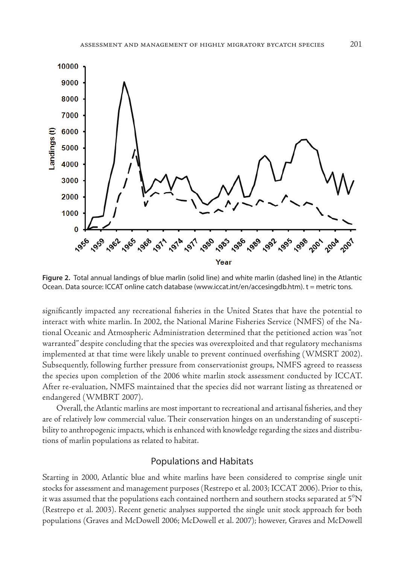

**Figure 2.** Total annual landings of blue marlin (solid line) and white marlin (dashed line) in the Atlantic Ocean. Data source: ICCAT online catch database (www.iccat.int/en/accesingdb.htm). t = metric tons.

significantly impacted any recreational fisheries in the United States that have the potential to interact with white marlin. In 2002, the National Marine Fisheries Service (NMFS) of the National Oceanic and Atmospheric Administration determined that the petitioned action was "not warranted" despite concluding that the species was overexploited and that regulatory mechanisms implemented at that time were likely unable to prevent continued overfishing (WMSRT 2002). Subsequently, following further pressure from conservationist groups, NMFS agreed to reassess the species upon completion of the 2006 white marlin stock assessment conducted by ICCAT. After re-evaluation, NMFS maintained that the species did not warrant listing as threatened or endangered (WMBRT 2007).

Overall, the Atlantic marlins are most important to recreational and artisanal fisheries, and they are of relatively low commercial value. Their conservation hinges on an understanding of susceptibility to anthropogenic impacts, which is enhanced with knowledge regarding the sizes and distributions of marlin populations as related to habitat.

## Populations and Habitats

Starting in 2000, Atlantic blue and white marlins have been considered to comprise single unit stocks for assessment and management purposes (Restrepo et al. 2003; ICCAT 2006). Prior to this, it was assumed that the populations each contained northern and southern stocks separated at  $5^{\circ}N$ (Restrepo et al. 2003). Recent genetic analyses supported the single unit stock approach for both populations (Graves and McDowell 2006; McDowell et al. 2007); however, Graves and McDowell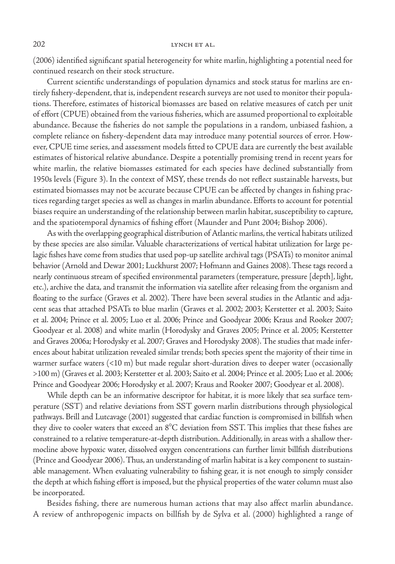(2006) identified significant spatial heterogeneity for white marlin, highlighting a potential need for continued research on their stock structure.

Current scientific understandings of population dynamics and stock status for marlins are entirely fishery-dependent, that is, independent research surveys are not used to monitor their populations. Therefore, estimates of historical biomasses are based on relative measures of catch per unit of effort (CPUE) obtained from the various fisheries, which are assumed proportional to exploitable abundance. Because the fisheries do not sample the populations in a random, unbiased fashion, a complete reliance on fishery-dependent data may introduce many potential sources of error. However, CPUE time series, and assessment models fitted to CPUE data are currently the best available estimates of historical relative abundance. Despite a potentially promising trend in recent years for white marlin, the relative biomasses estimated for each species have declined substantially from 1950s levels (Figure 3). In the context of MSY, these trends do not reflect sustainable harvests, but estimated biomasses may not be accurate because CPUE can be affected by changes in fishing practices regarding target species as well as changes in marlin abundance. Efforts to account for potential biases require an understanding of the relationship between marlin habitat, susceptibility to capture, and the spatiotemporal dynamics of fishing effort (Maunder and Punt 2004; Bishop 2006).

As with the overlapping geographical distribution of Atlantic marlins, the vertical habitats utilized by these species are also similar. Valuable characterizations of vertical habitat utilization for large pelagic fishes have come from studies that used pop-up satellite archival tags (PSATs) to monitor animal behavior (Arnold and Dewar 2001; Luckhurst 2007; Hofmann and Gaines 2008). These tags record a nearly continuous stream of specified environmental parameters (temperature, pressure [depth], light, etc.), archive the data, and transmit the information via satellite after releasing from the organism and floating to the surface (Graves et al. 2002). There have been several studies in the Atlantic and adjacent seas that attached PSATs to blue marlin (Graves et al. 2002; 2003; Kerstetter et al. 2003; Saito et al. 2004; Prince et al. 2005; Luo et al. 2006; Prince and Goodyear 2006; Kraus and Rooker 2007; Goodyear et al. 2008) and white marlin (Horodysky and Graves 2005; Prince et al. 2005; Kerstetter and Graves 2006a; Horodysky et al. 2007; Graves and Horodysky 2008). The studies that made inferences about habitat utilization revealed similar trends; both species spent the majority of their time in warmer surface waters (<10 m) but made regular short-duration dives to deeper water (occasionally >100 m) (Graves et al. 2003; Kerstetter et al. 2003; Saito et al. 2004; Prince et al. 2005; Luo et al. 2006; Prince and Goodyear 2006; Horodysky et al. 2007; Kraus and Rooker 2007; Goodyear et al. 2008).

While depth can be an informative descriptor for habitat, it is more likely that sea surface temperature (SST) and relative deviations from SST govern marlin distributions through physiological pathways. Brill and Lutcavage (2001) suggested that cardiac function is compromised in billfish when they dive to cooler waters that exceed an  $8^{\circ}C$  deviation from SST. This implies that these fishes are constrained to a relative temperature-at-depth distribution. Additionally, in areas with a shallow thermocline above hypoxic water, dissolved oxygen concentrations can further limit billfish distributions (Prince and Goodyear 2006). Thus, an understanding of marlin habitat is a key component to sustainable management. When evaluating vulnerability to fishing gear, it is not enough to simply consider the depth at which fishing effort is imposed, but the physical properties of the water column must also be incorporated.

Besides fishing, there are numerous human actions that may also affect marlin abundance. A review of anthropogenic impacts on billfish by de Sylva et al. (2000) highlighted a range of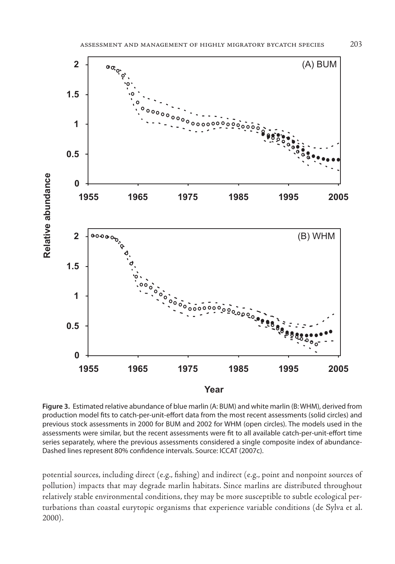

**Figure 3.** Estimated relative abundance of blue marlin (A: BUM) and white marlin (B: WHM), derived from production model fits to catch-per-unit-effort data from the most recent assessments (solid circles) and previous stock assessments in 2000 for BUM and 2002 for WHM (open circles). The models used in the assessments were similar, but the recent assessments were fit to all available catch-per-unit-effort time series separately, where the previous assessments considered a single composite index of abundance-Dashed lines represent 80% confidence intervals. Source: ICCAT (2007c).

potential sources, including direct (e.g., fishing) and indirect (e.g., point and nonpoint sources of pollution) impacts that may degrade marlin habitats. Since marlins are distributed throughout relatively stable environmental conditions, they may be more susceptible to subtle ecological perturbations than coastal eurytopic organisms that experience variable conditions (de Sylva et al. 2000).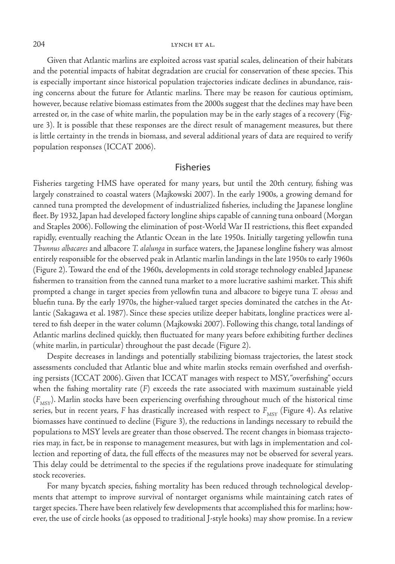Given that Atlantic marlins are exploited across vast spatial scales, delineation of their habitats and the potential impacts of habitat degradation are crucial for conservation of these species. This is especially important since historical population trajectories indicate declines in abundance, raising concerns about the future for Atlantic marlins. There may be reason for cautious optimism, however, because relative biomass estimates from the 2000s suggest that the declines may have been arrested or, in the case of white marlin, the population may be in the early stages of a recovery (Figure 3). It is possible that these responses are the direct result of management measures, but there is little certainty in the trends in biomass, and several additional years of data are required to verify population responses (ICCAT 2006).

## Fisheries

Fisheries targeting HMS have operated for many years, but until the 20th century, fishing was largely constrained to coastal waters (Majkowski 2007). In the early 1900s, a growing demand for canned tuna prompted the development of industrialized fisheries, including the Japanese longline fleet. By 1932, Japan had developed factory longline ships capable of canning tuna onboard (Morgan and Staples 2006). Following the elimination of post-World War II restrictions, this fleet expanded rapidly, eventually reaching the Atlantic Ocean in the late 1950s. Initially targeting yellowfin tuna *Thunnus albacares* and albacore *T. alalunga* in surface waters, the Japanese longline fishery was almost entirely responsible for the observed peak in Atlantic marlin landings in the late 1950s to early 1960s (Figure 2). Toward the end of the 1960s, developments in cold storage technology enabled Japanese fishermen to transition from the canned tuna market to a more lucrative sashimi market. This shift prompted a change in target species from yellowfin tuna and albacore to bigeye tuna *T. obesus* and bluefin tuna. By the early 1970s, the higher-valued target species dominated the catches in the Atlantic (Sakagawa et al. 1987). Since these species utilize deeper habitats, longline practices were altered to fish deeper in the water column (Majkowski 2007). Following this change, total landings of Atlantic marlins declined quickly, then fluctuated for many years before exhibiting further declines (white marlin, in particular) throughout the past decade (Figure 2).

Despite decreases in landings and potentially stabilizing biomass trajectories, the latest stock assessments concluded that Atlantic blue and white marlin stocks remain overfished and overfishing persists (ICCAT 2006). Given that ICCAT manages with respect to MSY, "overfishing" occurs when the fishing mortality rate (*F*) exceeds the rate associated with maximum sustainable yield ( $F_{\text{Msv}}$ ). Marlin stocks have been experiencing overfishing throughout much of the historical time series, but in recent years, *F* has drastically increased with respect to  $F_{MSY}$  (Figure 4). As relative biomasses have continued to decline (Figure 3), the reductions in landings necessary to rebuild the populations to MSY levels are greater than those observed. The recent changes in biomass trajectories may, in fact, be in response to management measures, but with lags in implementation and collection and reporting of data, the full effects of the measures may not be observed for several years. This delay could be detrimental to the species if the regulations prove inadequate for stimulating stock recoveries.

For many bycatch species, fishing mortality has been reduced through technological developments that attempt to improve survival of nontarget organisms while maintaining catch rates of target species. There have been relatively few developments that accomplished this for marlins; however, the use of circle hooks (as opposed to traditional J-style hooks) may show promise. In a review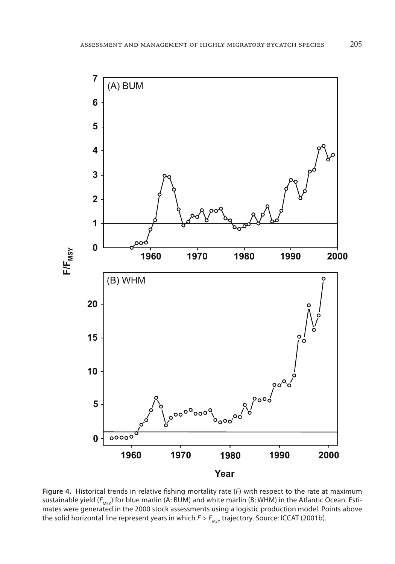

**Figure 4.** Historical trends in relative fishing mortality rate (*F*) with respect to the rate at maximum sustainable yield ( $F_{MSY}$ ) for blue marlin (A: BUM) and white marlin (B: WHM) in the Atlantic Ocean. Estimates were generated in the 2000 stock assessments using a logistic production model. Points above the solid horizontal line represent years in which  $F > F_{MST}$  trajectory. Source: ICCAT (2001b).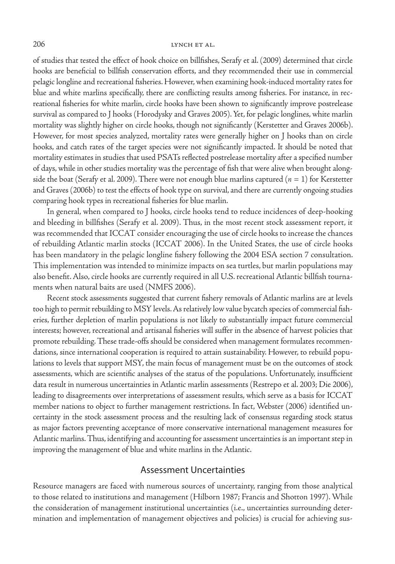of studies that tested the effect of hook choice on billfishes, Serafy et al. (2009) determined that circle hooks are beneficial to billfish conservation efforts, and they recommended their use in commercial pelagic longline and recreational fisheries. However, when examining hook-induced mortality rates for blue and white marlins specifically, there are conflicting results among fisheries. For instance, in recreational fisheries for white marlin, circle hooks have been shown to significantly improve postrelease survival as compared to J hooks (Horodysky and Graves 2005). Yet, for pelagic longlines, white marlin mortality was slightly higher on circle hooks, though not significantly (Kerstetter and Graves 2006b). However, for most species analyzed, mortality rates were generally higher on J hooks than on circle hooks, and catch rates of the target species were not significantly impacted. It should be noted that mortality estimates in studies that used PSATs reflected postrelease mortality after a specified number of days, while in other studies mortality was the percentage of fish that were alive when brought alongside the boat (Serafy et al. 2009). There were not enough blue marlins captured  $(n = 1)$  for Kerstetter and Graves (2006b) to test the effects of hook type on survival, and there are currently ongoing studies comparing hook types in recreational fisheries for blue marlin.

In general, when compared to J hooks, circle hooks tend to reduce incidences of deep-hooking and bleeding in billfishes (Serafy et al. 2009). Thus, in the most recent stock assessment report, it was recommended that ICCAT consider encouraging the use of circle hooks to increase the chances of rebuilding Atlantic marlin stocks (ICCAT 2006). In the United States, the use of circle hooks has been mandatory in the pelagic longline fishery following the 2004 ESA section 7 consultation. This implementation was intended to minimize impacts on sea turtles, but marlin populations may also benefit. Also, circle hooks are currently required in all U.S. recreational Atlantic billfish tournaments when natural baits are used (NMFS 2006).

Recent stock assessments suggested that current fishery removals of Atlantic marlins are at levels too high to permit rebuilding to MSY levels. As relatively low value bycatch species of commercial fisheries, further depletion of marlin populations is not likely to substantially impact future commercial interests; however, recreational and artisanal fisheries will suffer in the absence of harvest policies that promote rebuilding. These trade-offs should be considered when management formulates recommendations, since international cooperation is required to attain sustainability. However, to rebuild populations to levels that support MSY, the main focus of management must be on the outcomes of stock assessments, which are scientific analyses of the status of the populations. Unfortunately, insufficient data result in numerous uncertainties in Atlantic marlin assessments (Restrepo et al. 2003; Die 2006), leading to disagreements over interpretations of assessment results, which serve as a basis for ICCAT member nations to object to further management restrictions. In fact, Webster (2006) identified uncertainty in the stock assessment process and the resulting lack of consensus regarding stock status as major factors preventing acceptance of more conservative international management measures for Atlantic marlins. Thus, identifying and accounting for assessment uncertainties is an important step in improving the management of blue and white marlins in the Atlantic.

## Assessment Uncertainties

Resource managers are faced with numerous sources of uncertainty, ranging from those analytical to those related to institutions and management (Hilborn 1987; Francis and Shotton 1997). While the consideration of management institutional uncertainties (i.e., uncertainties surrounding determination and implementation of management objectives and policies) is crucial for achieving sus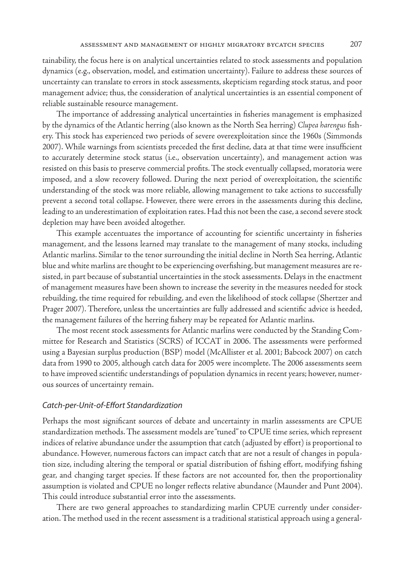tainability, the focus here is on analytical uncertainties related to stock assessments and population dynamics (e.g., observation, model, and estimation uncertainty). Failure to address these sources of uncertainty can translate to errors in stock assessments, skepticism regarding stock status, and poor management advice; thus, the consideration of analytical uncertainties is an essential component of reliable sustainable resource management.

The importance of addressing analytical uncertainties in fisheries management is emphasized by the dynamics of the Atlantic herring (also known as the North Sea herring) *Clupea harengus* fishery. This stock has experienced two periods of severe overexploitation since the 1960s (Simmonds 2007). While warnings from scientists preceded the first decline, data at that time were insufficient to accurately determine stock status (i.e., observation uncertainty), and management action was resisted on this basis to preserve commercial profits. The stock eventually collapsed, moratoria were imposed, and a slow recovery followed. During the next period of overexploitation, the scientific understanding of the stock was more reliable, allowing management to take actions to successfully prevent a second total collapse. However, there were errors in the assessments during this decline, leading to an underestimation of exploitation rates. Had this not been the case, a second severe stock depletion may have been avoided altogether.

This example accentuates the importance of accounting for scientific uncertainty in fisheries management, and the lessons learned may translate to the management of many stocks, including Atlantic marlins. Similar to the tenor surrounding the initial decline in North Sea herring, Atlantic blue and white marlins are thought to be experiencing overfishing, but management measures are resisted, in part because of substantial uncertainties in the stock assessments. Delays in the enactment of management measures have been shown to increase the severity in the measures needed for stock rebuilding, the time required for rebuilding, and even the likelihood of stock collapse (Shertzer and Prager 2007). Therefore, unless the uncertainties are fully addressed and scientific advice is heeded, the management failures of the herring fishery may be repeated for Atlantic marlins.

The most recent stock assessments for Atlantic marlins were conducted by the Standing Committee for Research and Statistics (SCRS) of ICCAT in 2006. The assessments were performed using a Bayesian surplus production (BSP) model (McAllister et al. 2001; Babcock 2007) on catch data from 1990 to 2005, although catch data for 2005 were incomplete. The 2006 assessments seem to have improved scientific understandings of population dynamics in recent years; however, numerous sources of uncertainty remain.

#### *Catch-per-Unit-of-Effort Standardization*

Perhaps the most significant sources of debate and uncertainty in marlin assessments are CPUE standardization methods. The assessment models are "tuned" to CPUE time series, which represent indices of relative abundance under the assumption that catch (adjusted by effort) is proportional to abundance. However, numerous factors can impact catch that are not a result of changes in population size, including altering the temporal or spatial distribution of fishing effort, modifying fishing gear, and changing target species. If these factors are not accounted for, then the proportionality assumption is violated and CPUE no longer reflects relative abundance (Maunder and Punt 2004). This could introduce substantial error into the assessments.

There are two general approaches to standardizing marlin CPUE currently under consideration. The method used in the recent assessment is a traditional statistical approach using a general-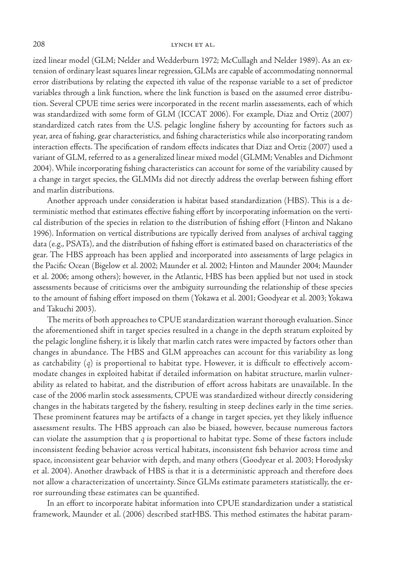ized linear model (GLM; Nelder and Wedderburn 1972; McCullagh and Nelder 1989). As an extension of ordinary least squares linear regression, GLMs are capable of accommodating nonnormal error distributions by relating the expected ith value of the response variable to a set of predictor variables through a link function, where the link function is based on the assumed error distribution. Several CPUE time series were incorporated in the recent marlin assessments, each of which was standardized with some form of GLM (ICCAT 2006). For example, Diaz and Ortiz (2007) standardized catch rates from the U.S. pelagic longline fishery by accounting for factors such as year, area of fishing, gear characteristics, and fishing characteristics while also incorporating random interaction effects. The specification of random effects indicates that Diaz and Ortiz (2007) used a variant of GLM, referred to as a generalized linear mixed model (GLMM; Venables and Dichmont 2004). While incorporating fishing characteristics can account for some of the variability caused by a change in target species, the GLMMs did not directly address the overlap between fishing effort and marlin distributions.

Another approach under consideration is habitat based standardization (HBS). This is a deterministic method that estimates effective fishing effort by incorporating information on the vertical distribution of the species in relation to the distribution of fishing effort (Hinton and Nakano 1996). Information on vertical distributions are typically derived from analyses of archival tagging data (e.g., PSATs), and the distribution of fishing effort is estimated based on characteristics of the gear. The HBS approach has been applied and incorporated into assessments of large pelagics in the Pacific Ocean (Bigelow et al. 2002; Maunder et al. 2002; Hinton and Maunder 2004; Maunder et al. 2006; among others); however, in the Atlantic, HBS has been applied but not used in stock assessments because of criticisms over the ambiguity surrounding the relationship of these species to the amount of fishing effort imposed on them (Yokawa et al. 2001; Goodyear et al. 2003; Yokawa and Takuchi 2003).

The merits of both approaches to CPUE standardization warrant thorough evaluation. Since the aforementioned shift in target species resulted in a change in the depth stratum exploited by the pelagic longline fishery, it is likely that marlin catch rates were impacted by factors other than changes in abundance. The HBS and GLM approaches can account for this variability as long as catchability (*q*) is proportional to habitat type. However, it is difficult to effectively accommodate changes in exploited habitat if detailed information on habitat structure, marlin vulnerability as related to habitat, and the distribution of effort across habitats are unavailable. In the case of the 2006 marlin stock assessments, CPUE was standardized without directly considering changes in the habitats targeted by the fishery, resulting in steep declines early in the time series. These prominent features may be artifacts of a change in target species, yet they likely influence assessment results. The HBS approach can also be biased, however, because numerous factors can violate the assumption that *q* is proportional to habitat type. Some of these factors include inconsistent feeding behavior across vertical habitats, inconsistent fish behavior across time and space, inconsistent gear behavior with depth, and many others (Goodyear et al. 2003; Horodysky et al. 2004). Another drawback of HBS is that it is a deterministic approach and therefore does not allow a characterization of uncertainty. Since GLMs estimate parameters statistically, the error surrounding these estimates can be quantified.

In an effort to incorporate habitat information into CPUE standardization under a statistical framework, Maunder et al. (2006) described statHBS. This method estimates the habitat param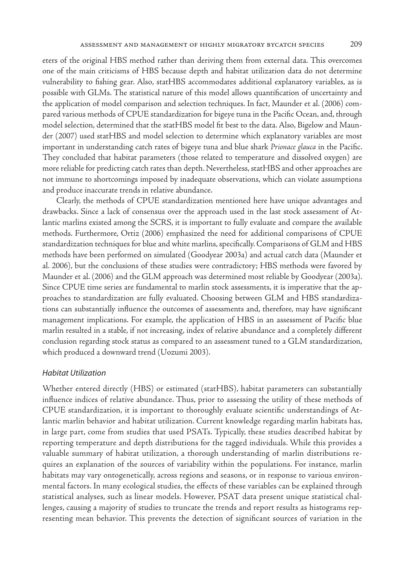eters of the original HBS method rather than deriving them from external data. This overcomes one of the main criticisms of HBS because depth and habitat utilization data do not determine vulnerability to fishing gear. Also, statHBS accommodates additional explanatory variables, as is possible with GLMs. The statistical nature of this model allows quantification of uncertainty and the application of model comparison and selection techniques. In fact, Maunder et al. (2006) compared various methods of CPUE standardization for bigeye tuna in the Pacific Ocean, and, through model selection, determined that the statHBS model fit best to the data. Also, Bigelow and Maunder (2007) used statHBS and model selection to determine which explanatory variables are most important in understanding catch rates of bigeye tuna and blue shark *Prionace glauca* in the Pacific. They concluded that habitat parameters (those related to temperature and dissolved oxygen) are more reliable for predicting catch rates than depth. Nevertheless, statHBS and other approaches are not immune to shortcomings imposed by inadequate observations, which can violate assumptions and produce inaccurate trends in relative abundance.

Clearly, the methods of CPUE standardization mentioned here have unique advantages and drawbacks. Since a lack of consensus over the approach used in the last stock assessment of Atlantic marlins existed among the SCRS, it is important to fully evaluate and compare the available methods. Furthermore, Ortiz (2006) emphasized the need for additional comparisons of CPUE standardization techniques for blue and white marlins, specifically. Comparisons of GLM and HBS methods have been performed on simulated (Goodyear 2003a) and actual catch data (Maunder et al. 2006), but the conclusions of these studies were contradictory; HBS methods were favored by Maunder et al. (2006) and the GLM approach was determined most reliable by Goodyear (2003a). Since CPUE time series are fundamental to marlin stock assessments, it is imperative that the approaches to standardization are fully evaluated. Choosing between GLM and HBS standardizations can substantially influence the outcomes of assessments and, therefore, may have significant management implications. For example, the application of HBS in an assessment of Pacific blue marlin resulted in a stable, if not increasing, index of relative abundance and a completely different conclusion regarding stock status as compared to an assessment tuned to a GLM standardization, which produced a downward trend (Uozumi 2003).

#### *Habitat Utilization*

Whether entered directly (HBS) or estimated (statHBS), habitat parameters can substantially influence indices of relative abundance. Thus, prior to assessing the utility of these methods of CPUE standardization, it is important to thoroughly evaluate scientific understandings of Atlantic marlin behavior and habitat utilization. Current knowledge regarding marlin habitats has, in large part, come from studies that used PSATs. Typically, these studies described habitat by reporting temperature and depth distributions for the tagged individuals. While this provides a valuable summary of habitat utilization, a thorough understanding of marlin distributions requires an explanation of the sources of variability within the populations. For instance, marlin habitats may vary ontogenetically, across regions and seasons, or in response to various environmental factors. In many ecological studies, the effects of these variables can be explained through statistical analyses, such as linear models. However, PSAT data present unique statistical challenges, causing a majority of studies to truncate the trends and report results as histograms representing mean behavior. This prevents the detection of significant sources of variation in the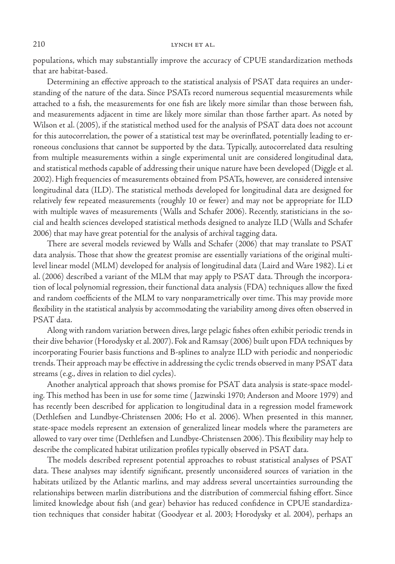populations, which may substantially improve the accuracy of CPUE standardization methods that are habitat-based.

Determining an effective approach to the statistical analysis of PSAT data requires an understanding of the nature of the data. Since PSATs record numerous sequential measurements while attached to a fish, the measurements for one fish are likely more similar than those between fish, and measurements adjacent in time are likely more similar than those farther apart. As noted by Wilson et al. (2005), if the statistical method used for the analysis of PSAT data does not account for this autocorrelation, the power of a statistical test may be overinflated, potentially leading to erroneous conclusions that cannot be supported by the data. Typically, autocorrelated data resulting from multiple measurements within a single experimental unit are considered longitudinal data, and statistical methods capable of addressing their unique nature have been developed (Diggle et al. 2002). High frequencies of measurements obtained from PSATs, however, are considered intensive longitudinal data (ILD). The statistical methods developed for longitudinal data are designed for relatively few repeated measurements (roughly 10 or fewer) and may not be appropriate for ILD with multiple waves of measurements (Walls and Schafer 2006). Recently, statisticians in the social and health sciences developed statistical methods designed to analyze ILD (Walls and Schafer 2006) that may have great potential for the analysis of archival tagging data.

There are several models reviewed by Walls and Schafer (2006) that may translate to PSAT data analysis. Those that show the greatest promise are essentially variations of the original multilevel linear model (MLM) developed for analysis of longitudinal data (Laird and Ware 1982). Li et al. (2006) described a variant of the MLM that may apply to PSAT data. Through the incorporation of local polynomial regression, their functional data analysis (FDA) techniques allow the fixed and random coefficients of the MLM to vary nonparametrically over time. This may provide more flexibility in the statistical analysis by accommodating the variability among dives often observed in PSAT data.

Along with random variation between dives, large pelagic fishes often exhibit periodic trends in their dive behavior (Horodysky et al. 2007). Fok and Ramsay (2006) built upon FDA techniques by incorporating Fourier basis functions and B-splines to analyze ILD with periodic and nonperiodic trends. Their approach may be effective in addressing the cyclic trends observed in many PSAT data streams (e.g., dives in relation to diel cycles).

Another analytical approach that shows promise for PSAT data analysis is state-space modeling. This method has been in use for some time ( Jazwinski 1970; Anderson and Moore 1979) and has recently been described for application to longitudinal data in a regression model framework (Dethlefsen and Lundbye-Christensen 2006; Ho et al. 2006). When presented in this manner, state-space models represent an extension of generalized linear models where the parameters are allowed to vary over time (Dethlefsen and Lundbye-Christensen 2006). This flexibility may help to describe the complicated habitat utilization profiles typically observed in PSAT data.

The models described represent potential approaches to robust statistical analyses of PSAT data. These analyses may identify significant, presently unconsidered sources of variation in the habitats utilized by the Atlantic marlins, and may address several uncertainties surrounding the relationships between marlin distributions and the distribution of commercial fishing effort. Since limited knowledge about fish (and gear) behavior has reduced confidence in CPUE standardization techniques that consider habitat (Goodyear et al. 2003; Horodysky et al. 2004), perhaps an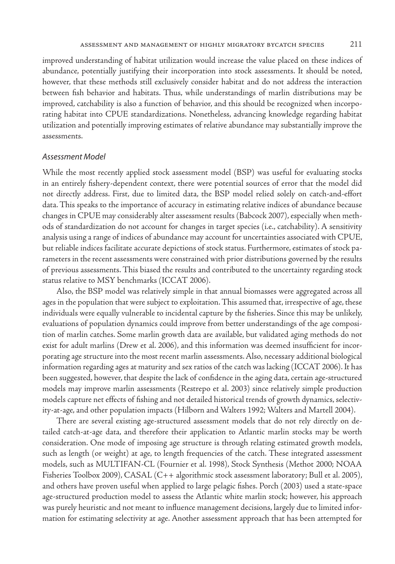improved understanding of habitat utilization would increase the value placed on these indices of abundance, potentially justifying their incorporation into stock assessments. It should be noted, however, that these methods still exclusively consider habitat and do not address the interaction between fish behavior and habitats. Thus, while understandings of marlin distributions may be improved, catchability is also a function of behavior, and this should be recognized when incorporating habitat into CPUE standardizations. Nonetheless, advancing knowledge regarding habitat utilization and potentially improving estimates of relative abundance may substantially improve the assessments.

## *Assessment Model*

While the most recently applied stock assessment model (BSP) was useful for evaluating stocks in an entirely fishery-dependent context, there were potential sources of error that the model did not directly address. First, due to limited data, the BSP model relied solely on catch-and-effort data. This speaks to the importance of accuracy in estimating relative indices of abundance because changes in CPUE may considerably alter assessment results (Babcock 2007), especially when methods of standardization do not account for changes in target species (i.e., catchability). A sensitivity analysis using a range of indices of abundance may account for uncertainties associated with CPUE, but reliable indices facilitate accurate depictions of stock status. Furthermore, estimates of stock parameters in the recent assessments were constrained with prior distributions governed by the results of previous assessments. This biased the results and contributed to the uncertainty regarding stock status relative to MSY benchmarks (ICCAT 2006).

Also, the BSP model was relatively simple in that annual biomasses were aggregated across all ages in the population that were subject to exploitation. This assumed that, irrespective of age, these individuals were equally vulnerable to incidental capture by the fisheries. Since this may be unlikely, evaluations of population dynamics could improve from better understandings of the age composition of marlin catches. Some marlin growth data are available, but validated aging methods do not exist for adult marlins (Drew et al. 2006), and this information was deemed insufficient for incorporating age structure into the most recent marlin assessments. Also, necessary additional biological information regarding ages at maturity and sex ratios of the catch was lacking (ICCAT 2006). It has been suggested, however, that despite the lack of confidence in the aging data, certain age-structured models may improve marlin assessments (Restrepo et al. 2003) since relatively simple production models capture net effects of fishing and not detailed historical trends of growth dynamics, selectivity-at-age, and other population impacts (Hilborn and Walters 1992; Walters and Martell 2004).

There are several existing age-structured assessment models that do not rely directly on detailed catch-at-age data, and therefore their application to Atlantic marlin stocks may be worth consideration. One mode of imposing age structure is through relating estimated growth models, such as length (or weight) at age, to length frequencies of the catch. These integrated assessment models, such as MULTIFAN-CL (Fournier et al. 1998), Stock Synthesis (Methot 2000; NOAA Fisheries Toolbox 2009), CASAL (C++ algorithmic stock assessment laboratory; Bull et al. 2005), and others have proven useful when applied to large pelagic fishes. Porch (2003) used a state-space age-structured production model to assess the Atlantic white marlin stock; however, his approach was purely heuristic and not meant to influence management decisions, largely due to limited information for estimating selectivity at age. Another assessment approach that has been attempted for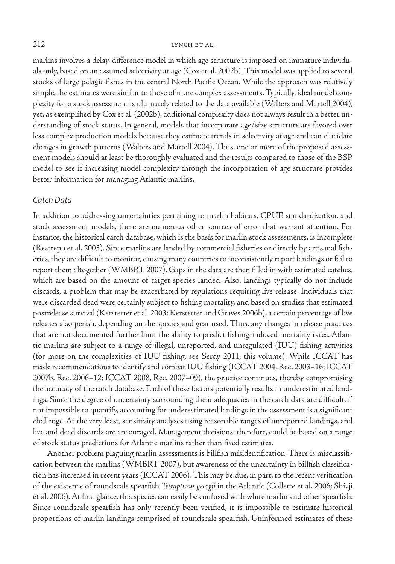#### 212 LYNCH ET AL.

marlins involves a delay-difference model in which age structure is imposed on immature individuals only, based on an assumed selectivity at age (Cox et al. 2002b). This model was applied to several stocks of large pelagic fishes in the central North Pacific Ocean. While the approach was relatively simple, the estimates were similar to those of more complex assessments. Typically, ideal model complexity for a stock assessment is ultimately related to the data available (Walters and Martell 2004), yet, as exemplified by Cox et al. (2002b), additional complexity does not always result in a better understanding of stock status. In general, models that incorporate age/size structure are favored over less complex production models because they estimate trends in selectivity at age and can elucidate changes in growth patterns (Walters and Martell 2004). Thus, one or more of the proposed assessment models should at least be thoroughly evaluated and the results compared to those of the BSP model to see if increasing model complexity through the incorporation of age structure provides better information for managing Atlantic marlins.

#### *Catch Data*

In addition to addressing uncertainties pertaining to marlin habitats, CPUE standardization, and stock assessment models, there are numerous other sources of error that warrant attention. For instance, the historical catch database, which is the basis for marlin stock assessments, is incomplete (Restrepo et al. 2003). Since marlins are landed by commercial fisheries or directly by artisanal fisheries, they are difficult to monitor, causing many countries to inconsistently report landings or fail to report them altogether (WMBRT 2007). Gaps in the data are then filled in with estimated catches, which are based on the amount of target species landed. Also, landings typically do not include discards, a problem that may be exacerbated by regulations requiring live release. Individuals that were discarded dead were certainly subject to fishing mortality, and based on studies that estimated postrelease survival (Kerstetter et al. 2003; Kerstetter and Graves 2006b), a certain percentage of live releases also perish, depending on the species and gear used. Thus, any changes in release practices that are not documented further limit the ability to predict fishing-induced mortality rates. Atlantic marlins are subject to a range of illegal, unreported, and unregulated (IUU) fishing activities (for more on the complexities of IUU fishing, see Serdy 2011, this volume). While ICCAT has made recommendations to identify and combat IUU fishing (ICCAT 2004, Rec. 2003–16; ICCAT 2007b, Rec. 2006–12; ICCAT 2008, Rec. 2007–09), the practice continues, thereby compromising the accuracy of the catch database. Each of these factors potentially results in underestimated landings. Since the degree of uncertainty surrounding the inadequacies in the catch data are difficult, if not impossible to quantify, accounting for underestimated landings in the assessment is a significant challenge. At the very least, sensitivity analyses using reasonable ranges of unreported landings, and live and dead discards are encouraged. Management decisions, therefore, could be based on a range of stock status predictions for Atlantic marlins rather than fixed estimates.

Another problem plaguing marlin assessments is billfish misidentification. There is misclassification between the marlins (WMBRT 2007), but awareness of the uncertainty in billfish classification has increased in recent years (ICCAT 2006). This may be due, in part, to the recent verification of the existence of roundscale spearfish *Tetrapturus georgii* in the Atlantic (Collette et al. 2006; Shivji et al. 2006). At first glance, this species can easily be confused with white marlin and other spearfish. Since roundscale spearfish has only recently been verified, it is impossible to estimate historical proportions of marlin landings comprised of roundscale spearfish. Uninformed estimates of these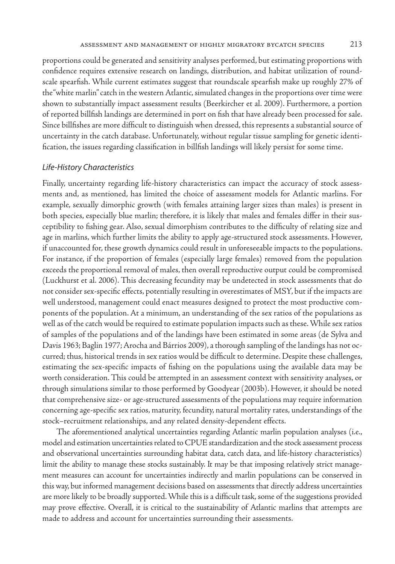proportions could be generated and sensitivity analyses performed, but estimating proportions with confidence requires extensive research on landings, distribution, and habitat utilization of roundscale spearfish. While current estimates suggest that roundscale spearfish make up roughly 27% of the "white marlin" catch in the western Atlantic, simulated changes in the proportions over time were shown to substantially impact assessment results (Beerkircher et al. 2009). Furthermore, a portion of reported billfish landings are determined in port on fish that have already been processed for sale. Since billfishes are more difficult to distinguish when dressed, this represents a substantial source of uncertainty in the catch database. Unfortunately, without regular tissue sampling for genetic identification, the issues regarding classification in billfish landings will likely persist for some time.

## *Life-History Characteristics*

Finally, uncertainty regarding life-history characteristics can impact the accuracy of stock assessments and, as mentioned, has limited the choice of assessment models for Atlantic marlins. For example, sexually dimorphic growth (with females attaining larger sizes than males) is present in both species, especially blue marlin; therefore, it is likely that males and females differ in their susceptibility to fishing gear. Also, sexual dimorphism contributes to the difficulty of relating size and age in marlins, which further limits the ability to apply age-structured stock assessments. However, if unaccounted for, these growth dynamics could result in unforeseeable impacts to the populations. For instance, if the proportion of females (especially large females) removed from the population exceeds the proportional removal of males, then overall reproductive output could be compromised (Luckhurst et al. 2006). This decreasing fecundity may be undetected in stock assessments that do not consider sex-specific effects, potentially resulting in overestimates of MSY, but if the impacts are well understood, management could enact measures designed to protect the most productive components of the population. At a minimum, an understanding of the sex ratios of the populations as well as of the catch would be required to estimate population impacts such as these. While sex ratios of samples of the populations and of the landings have been estimated in some areas (de Sylva and Davis 1963; Baglin 1977; Arocha and Bárrios 2009), a thorough sampling of the landings has not occurred; thus, historical trends in sex ratios would be difficult to determine. Despite these challenges, estimating the sex-specific impacts of fishing on the populations using the available data may be worth consideration. This could be attempted in an assessment context with sensitivity analyses, or through simulations similar to those performed by Goodyear (2003b). However, it should be noted that comprehensive size- or age-structured assessments of the populations may require information concerning age-specific sex ratios, maturity, fecundity, natural mortality rates, understandings of the stock–recruitment relationships, and any related density-dependent effects.

The aforementioned analytical uncertainties regarding Atlantic marlin population analyses (i.e., model and estimation uncertainties related to CPUE standardization and the stock assessment process and observational uncertainties surrounding habitat data, catch data, and life-history characteristics) limit the ability to manage these stocks sustainably. It may be that imposing relatively strict management measures can account for uncertainties indirectly and marlin populations can be conserved in this way, but informed management decisions based on assessments that directly address uncertainties are more likely to be broadly supported. While this is a difficult task, some of the suggestions provided may prove effective. Overall, it is critical to the sustainability of Atlantic marlins that attempts are made to address and account for uncertainties surrounding their assessments.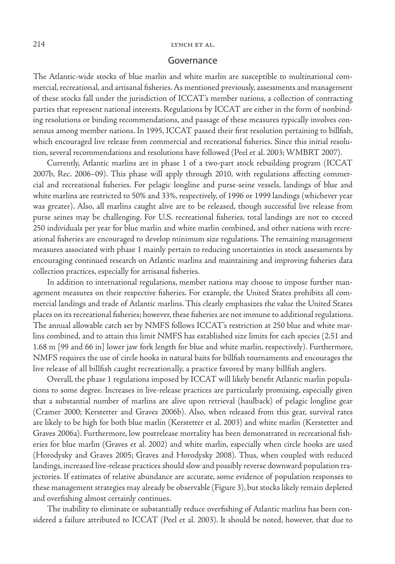#### 214 LYNCH ET AL.

#### Governance

The Atlantic-wide stocks of blue marlin and white marlin are susceptible to multinational commercial, recreational, and artisanal fisheries. As mentioned previously, assessments and management of these stocks fall under the jurisdiction of ICCAT's member nations, a collection of contracting parties that represent national interests. Regulations by ICCAT are either in the form of nonbinding resolutions or binding recommendations, and passage of these measures typically involves consensus among member nations. In 1995, ICCAT passed their first resolution pertaining to billfish, which encouraged live release from commercial and recreational fisheries. Since this initial resolution, several recommendations and resolutions have followed (Peel et al. 2003; WMBRT 2007).

Currently, Atlantic marlins are in phase 1 of a two-part stock rebuilding program (ICCAT 2007b, Rec. 2006–09). This phase will apply through 2010, with regulations affecting commercial and recreational fisheries. For pelagic longline and purse-seine vessels, landings of blue and white marlins are restricted to 50% and 33%, respectively, of 1996 or 1999 landings (whichever year was greater). Also, all marlins caught alive are to be released, though successful live release from purse seines may be challenging. For U.S. recreational fisheries, total landings are not to exceed 250 individuals per year for blue marlin and white marlin combined, and other nations with recreational fisheries are encouraged to develop minimum size regulations. The remaining management measures associated with phase 1 mainly pertain to reducing uncertainties in stock assessments by encouraging continued research on Atlantic marlins and maintaining and improving fisheries data collection practices, especially for artisanal fisheries.

In addition to international regulations, member nations may choose to impose further management measures on their respective fisheries. For example, the United States prohibits all commercial landings and trade of Atlantic marlins. This clearly emphasizes the value the United States places on its recreational fisheries; however, these fisheries are not immune to additional regulations. The annual allowable catch set by NMFS follows ICCAT's restriction at 250 blue and white marlins combined, and to attain this limit NMFS has established size limits for each species (2.51 and 1.68 m [99 and 66 in] lower jaw fork length for blue and white marlin, respectively). Furthermore, NMFS requires the use of circle hooks in natural baits for billfish tournaments and encourages the live release of all billfish caught recreationally, a practice favored by many billfish anglers.

Overall, the phase 1 regulations imposed by ICCAT will likely benefit Atlantic marlin populations to some degree. Increases in live-release practices are particularly promising, especially given that a substantial number of marlins are alive upon retrieval (haulback) of pelagic longline gear (Cramer 2000; Kerstetter and Graves 2006b). Also, when released from this gear, survival rates are likely to be high for both blue marlin (Kerstetter et al. 2003) and white marlin (Kerstetter and Graves 2006a). Furthermore, low postrelease mortality has been demonstrated in recreational fisheries for blue marlin (Graves et al. 2002) and white marlin, especially when circle hooks are used (Horodysky and Graves 2005; Graves and Horodysky 2008). Thus, when coupled with reduced landings, increased live-release practices should slow and possibly reverse downward population trajectories. If estimates of relative abundance are accurate, some evidence of population responses to these management strategies may already be observable (Figure 3), but stocks likely remain depleted and overfishing almost certainly continues.

The inability to eliminate or substantially reduce overfishing of Atlantic marlins has been considered a failure attributed to ICCAT (Peel et al. 2003). It should be noted, however, that due to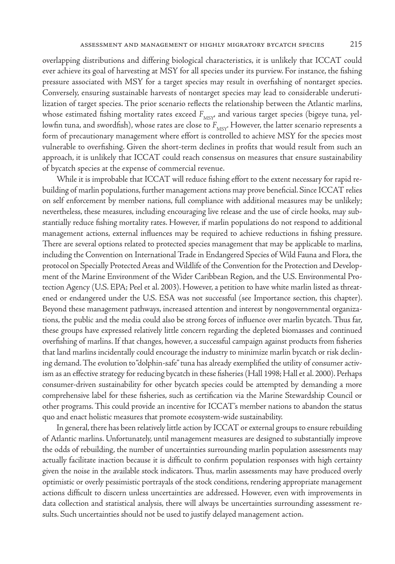overlapping distributions and differing biological characteristics, it is unlikely that ICCAT could ever achieve its goal of harvesting at MSY for all species under its purview. For instance, the fishing pressure associated with MSY for a target species may result in overfishing of nontarget species. Conversely, ensuring sustainable harvests of nontarget species may lead to considerable underutilization of target species. The prior scenario reflects the relationship between the Atlantic marlins, whose estimated fishing mortality rates exceed  $F_{\text{MSY}}$ , and various target species (bigeye tuna, yellowfin tuna, and swordfish), whose rates are close to  $F_{MSV}$ . However, the latter scenario represents a form of precautionary management where effort is controlled to achieve MSY for the species most vulnerable to overfishing. Given the short-term declines in profits that would result from such an approach, it is unlikely that ICCAT could reach consensus on measures that ensure sustainability of bycatch species at the expense of commercial revenue.

While it is improbable that ICCAT will reduce fishing effort to the extent necessary for rapid rebuilding of marlin populations, further management actions may prove beneficial. Since ICCAT relies on self enforcement by member nations, full compliance with additional measures may be unlikely; nevertheless, these measures, including encouraging live release and the use of circle hooks, may substantially reduce fishing mortality rates. However, if marlin populations do not respond to additional management actions, external influences may be required to achieve reductions in fishing pressure. There are several options related to protected species management that may be applicable to marlins, including the Convention on International Trade in Endangered Species of Wild Fauna and Flora, the protocol on Specially Protected Areas and Wildlife of the Convention for the Protection and Development of the Marine Environment of the Wider Caribbean Region, and the U.S. Environmental Protection Agency (U.S. EPA; Peel et al. 2003). However, a petition to have white marlin listed as threatened or endangered under the U.S. ESA was not successful (see Importance section, this chapter). Beyond these management pathways, increased attention and interest by nongovernmental organizations, the public and the media could also be strong forces of influence over marlin bycatch. Thus far, these groups have expressed relatively little concern regarding the depleted biomasses and continued overfishing of marlins. If that changes, however, a successful campaign against products from fisheries that land marlins incidentally could encourage the industry to minimize marlin bycatch or risk declining demand. The evolution to "dolphin-safe" tuna has already exemplified the utility of consumer activism as an effective strategy for reducing bycatch in these fisheries (Hall 1998; Hall et al. 2000). Perhaps consumer-driven sustainability for other bycatch species could be attempted by demanding a more comprehensive label for these fisheries, such as certification via the Marine Stewardship Council or other programs. This could provide an incentive for ICCAT's member nations to abandon the status quo and enact holistic measures that promote ecosystem-wide sustainability.

In general, there has been relatively little action by ICCAT or external groups to ensure rebuilding of Atlantic marlins. Unfortunately, until management measures are designed to substantially improve the odds of rebuilding, the number of uncertainties surrounding marlin population assessments may actually facilitate inaction because it is difficult to confirm population responses with high certainty given the noise in the available stock indicators. Thus, marlin assessments may have produced overly optimistic or overly pessimistic portrayals of the stock conditions, rendering appropriate management actions difficult to discern unless uncertainties are addressed. However, even with improvements in data collection and statistical analysis, there will always be uncertainties surrounding assessment results. Such uncertainties should not be used to justify delayed management action.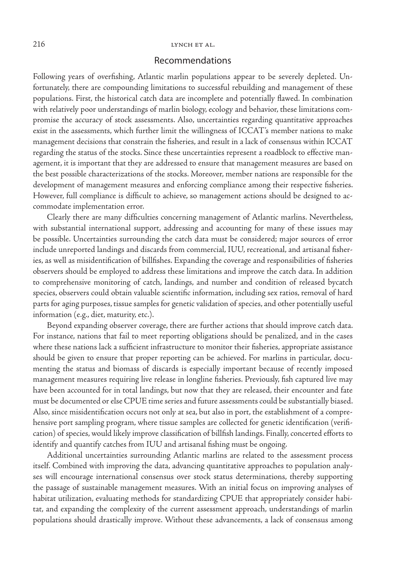## Recommendations

Following years of overfishing, Atlantic marlin populations appear to be severely depleted. Unfortunately, there are compounding limitations to successful rebuilding and management of these populations. First, the historical catch data are incomplete and potentially flawed. In combination with relatively poor understandings of marlin biology, ecology and behavior, these limitations compromise the accuracy of stock assessments. Also, uncertainties regarding quantitative approaches exist in the assessments, which further limit the willingness of ICCAT's member nations to make management decisions that constrain the fisheries, and result in a lack of consensus within ICCAT regarding the status of the stocks. Since these uncertainties represent a roadblock to effective management, it is important that they are addressed to ensure that management measures are based on the best possible characterizations of the stocks. Moreover, member nations are responsible for the development of management measures and enforcing compliance among their respective fisheries. However, full compliance is difficult to achieve, so management actions should be designed to accommodate implementation error.

Clearly there are many difficulties concerning management of Atlantic marlins. Nevertheless, with substantial international support, addressing and accounting for many of these issues may be possible. Uncertainties surrounding the catch data must be considered; major sources of error include unreported landings and discards from commercial, IUU, recreational, and artisanal fisheries, as well as misidentification of billfishes. Expanding the coverage and responsibilities of fisheries observers should be employed to address these limitations and improve the catch data. In addition to comprehensive monitoring of catch, landings, and number and condition of released bycatch species, observers could obtain valuable scientific information, including sex ratios, removal of hard parts for aging purposes, tissue samples for genetic validation of species, and other potentially useful information (e.g., diet, maturity, etc.).

Beyond expanding observer coverage, there are further actions that should improve catch data. For instance, nations that fail to meet reporting obligations should be penalized, and in the cases where these nations lack a sufficient infrastructure to monitor their fisheries, appropriate assistance should be given to ensure that proper reporting can be achieved. For marlins in particular, documenting the status and biomass of discards is especially important because of recently imposed management measures requiring live release in longline fisheries. Previously, fish captured live may have been accounted for in total landings, but now that they are released, their encounter and fate must be documented or else CPUE time series and future assessments could be substantially biased. Also, since misidentification occurs not only at sea, but also in port, the establishment of a comprehensive port sampling program, where tissue samples are collected for genetic identification (verification) of species, would likely improve classification of billfish landings. Finally, concerted efforts to identify and quantify catches from IUU and artisanal fishing must be ongoing.

Additional uncertainties surrounding Atlantic marlins are related to the assessment process itself. Combined with improving the data, advancing quantitative approaches to population analyses will encourage international consensus over stock status determinations, thereby supporting the passage of sustainable management measures. With an initial focus on improving analyses of habitat utilization, evaluating methods for standardizing CPUE that appropriately consider habitat, and expanding the complexity of the current assessment approach, understandings of marlin populations should drastically improve. Without these advancements, a lack of consensus among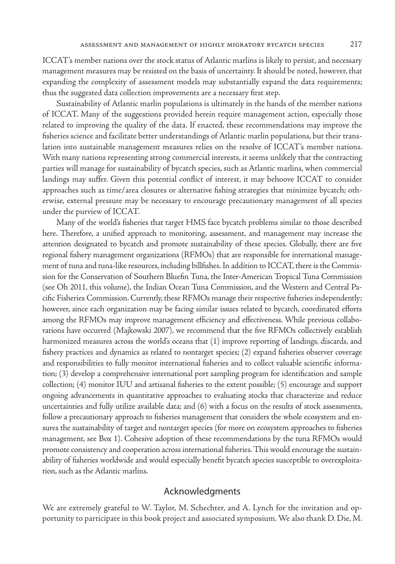ICCAT's member nations over the stock status of Atlantic marlins is likely to persist, and necessary management measures may be resisted on the basis of uncertainty. It should be noted, however, that expanding the complexity of assessment models may substantially expand the data requirements; thus the suggested data collection improvements are a necessary first step.

Sustainability of Atlantic marlin populations is ultimately in the hands of the member nations of ICCAT. Many of the suggestions provided herein require management action, especially those related to improving the quality of the data. If enacted, these recommendations may improve the fisheries science and facilitate better understandings of Atlantic marlin populations, but their translation into sustainable management measures relies on the resolve of ICCAT's member nations. With many nations representing strong commercial interests, it seems unlikely that the contracting parties will manage for sustainability of bycatch species, such as Atlantic marlins, when commercial landings may suffer. Given this potential conflict of interest, it may behoove ICCAT to consider approaches such as time/area closures or alternative fishing strategies that minimize bycatch; otherwise, external pressure may be necessary to encourage precautionary management of all species under the purview of ICCAT.

Many of the world's fisheries that target HMS face bycatch problems similar to those described here. Therefore, a unified approach to monitoring, assessment, and management may increase the attention designated to bycatch and promote sustainability of these species. Globally, there are five regional fishery management organizations (RFMOs) that are responsible for international management of tuna and tuna-like resources, including billfishes. In addition to ICCAT, there is the Commission for the Conservation of Southern Bluefin Tuna, the Inter-American Tropical Tuna Commission (see Oh 2011, this volume), the Indian Ocean Tuna Commission, and the Western and Central Pacific Fisheries Commission. Currently, these RFMOs manage their respective fisheries independently; however, since each organization may be facing similar issues related to bycatch, coordinated efforts among the RFMOs may improve management efficiency and effectiveness. While previous collaborations have occurred (Majkowski 2007), we recommend that the five RFMOs collectively establish harmonized measures across the world's oceans that (1) improve reporting of landings, discards, and fishery practices and dynamics as related to nontarget species; (2) expand fisheries observer coverage and responsibilities to fully monitor international fisheries and to collect valuable scientific information; (3) develop a comprehensive international port sampling program for identification and sample collection; (4) monitor IUU and artisanal fisheries to the extent possible; (5) encourage and support ongoing advancements in quantitative approaches to evaluating stocks that characterize and reduce uncertainties and fully utilize available data; and (6) with a focus on the results of stock assessments, follow a precautionary approach to fisheries management that considers the whole ecosystem and ensures the sustainability of target and nontarget species (for more on ecosystem approaches to fisheries management, see Box 1). Cohesive adoption of these recommendations by the tuna RFMOs would promote consistency and cooperation across international fisheries. This would encourage the sustainability of fisheries worldwide and would especially benefit bycatch species susceptible to overexploitation, such as the Atlantic marlins.

## Acknowledgments

We are extremely grateful to W. Taylor, M. Schechter, and A. Lynch for the invitation and opportunity to participate in this book project and associated symposium. We also thank D. Die, M.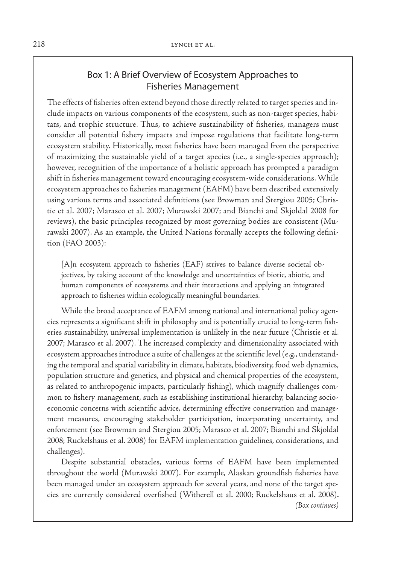## Box 1: A Brief Overview of Ecosystem Approaches to Fisheries Management

The effects of fisheries often extend beyond those directly related to target species and include impacts on various components of the ecosystem, such as non-target species, habitats, and trophic structure. Thus, to achieve sustainability of fisheries, managers must consider all potential fishery impacts and impose regulations that facilitate long-term ecosystem stability. Historically, most fisheries have been managed from the perspective of maximizing the sustainable yield of a target species (i.e., a single-species approach); however, recognition of the importance of a holistic approach has prompted a paradigm shift in fisheries management toward encouraging ecosystem-wide considerations. While ecosystem approaches to fisheries management (EAFM) have been described extensively using various terms and associated definitions (see Browman and Stergiou 2005; Christie et al. 2007; Marasco et al. 2007; Murawski 2007; and Bianchi and Skjoldal 2008 for reviews), the basic principles recognized by most governing bodies are consistent (Murawski 2007). As an example, the United Nations formally accepts the following definition (FAO 2003):

[A]n ecosystem approach to fisheries (EAF) strives to balance diverse societal objectives, by taking account of the knowledge and uncertainties of biotic, abiotic, and human components of ecosystems and their interactions and applying an integrated approach to fisheries within ecologically meaningful boundaries.

While the broad acceptance of EAFM among national and international policy agencies represents a significant shift in philosophy and is potentially crucial to long-term fisheries sustainability, universal implementation is unlikely in the near future (Christie et al. 2007; Marasco et al. 2007). The increased complexity and dimensionality associated with ecosystem approaches introduce a suite of challenges at the scientific level (e.g., understanding the temporal and spatial variability in climate, habitats, biodiversity, food web dynamics, population structure and genetics, and physical and chemical properties of the ecosystem, as related to anthropogenic impacts, particularly fishing), which magnify challenges common to fishery management, such as establishing institutional hierarchy, balancing socioeconomic concerns with scientific advice, determining effective conservation and management measures, encouraging stakeholder participation, incorporating uncertainty, and enforcement (see Browman and Stergiou 2005; Marasco et al. 2007; Bianchi and Skjoldal 2008; Ruckelshaus et al. 2008) for EAFM implementation guidelines, considerations, and challenges).

Despite substantial obstacles, various forms of EAFM have been implemented throughout the world (Murawski 2007). For example, Alaskan groundfish fisheries have been managed under an ecosystem approach for several years, and none of the target species are currently considered overfished (Witherell et al. 2000; Ruckelshaus et al. 2008). *(Box continues)*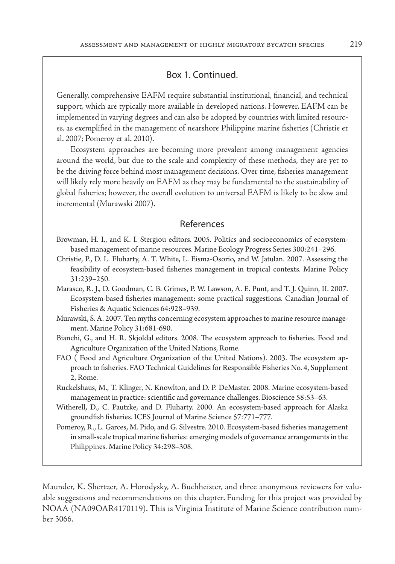## Box 1. Continued.

Generally, comprehensive EAFM require substantial institutional, financial, and technical support, which are typically more available in developed nations. However, EAFM can be implemented in varying degrees and can also be adopted by countries with limited resources, as exemplified in the management of nearshore Philippine marine fisheries (Christie et al. 2007; Pomeroy et al. 2010).

Ecosystem approaches are becoming more prevalent among management agencies around the world, but due to the scale and complexity of these methods, they are yet to be the driving force behind most management decisions. Over time, fisheries management will likely rely more heavily on EAFM as they may be fundamental to the sustainability of global fisheries; however, the overall evolution to universal EAFM is likely to be slow and incremental (Murawski 2007).

## References

- Browman, H. I., and K. I. Stergiou editors. 2005. Politics and socioeconomics of ecosystembased management of marine resources. Marine Ecology Progress Series 300:241–296.
- Christie, P., D. L. Fluharty, A. T. White, L. Eisma-Osorio, and W. Jatulan. 2007. Assessing the feasibility of ecosystem-based fisheries management in tropical contexts. Marine Policy 31:239–250.
- Marasco, R. J., D. Goodman, C. B. Grimes, P. W. Lawson, A. E. Punt, and T. J. Quinn, II. 2007. Ecosystem-based fisheries management: some practical suggestions. Canadian Journal of Fisheries & Aquatic Sciences 64:928–939.
- Murawski, S. A. 2007. Ten myths concerning ecosystem approaches to marine resource management. Marine Policy 31:681-690.
- Bianchi, G., and H. R. Skjoldal editors. 2008. The ecosystem approach to fisheries. Food and Agriculture Organization of the United Nations, Rome.
- FAO ( Food and Agriculture Organization of the United Nations). 2003. The ecosystem approach to fisheries. FAO Technical Guidelines for Responsible Fisheries No. 4, Supplement 2, Rome.
- Ruckelshaus, M., T. Klinger, N. Knowlton, and D. P. DeMaster. 2008. Marine ecosystem-based management in practice: scientific and governance challenges. Bioscience 58:53–63.
- Witherell, D., C. Pautzke, and D. Fluharty. 2000. An ecosystem-based approach for Alaska groundfish fisheries. ICES Journal of Marine Science 57:771–777.
- Pomeroy, R., L. Garces, M. Pido, and G. Silvestre. 2010. Ecosystem-based fisheries management in small-scale tropical marine fisheries: emerging models of governance arrangements in the Philippines. Marine Policy 34:298–308.

Maunder, K. Shertzer, A. Horodysky, A. Buchheister, and three anonymous reviewers for valuable suggestions and recommendations on this chapter. Funding for this project was provided by NOAA (NA09OAR4170119). This is Virginia Institute of Marine Science contribution number 3066.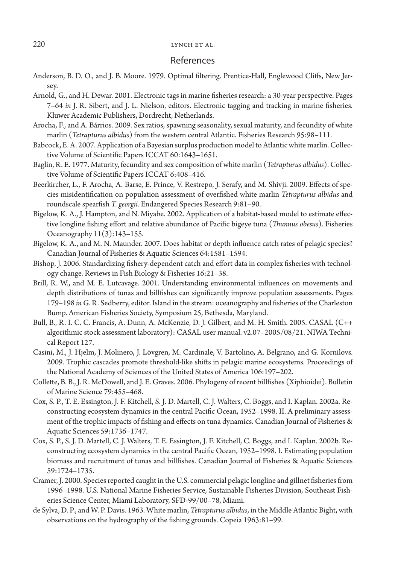## References

- Anderson, B. D. O., and J. B. Moore. 1979. Optimal filtering. Prentice-Hall, Englewood Cliffs, New Jersey.
- Arnold, G., and H. Dewar. 2001. Electronic tags in marine fisheries research: a 30-year perspective. Pages 7–64 *in* J. R. Sibert, and J. L. Nielson, editors. Electronic tagging and tracking in marine fisheries. Kluwer Academic Publishers, Dordrecht, Netherlands.
- Arocha, F., and A. Bárrios. 2009. Sex ratios, spawning seasonality, sexual maturity, and fecundity of white marlin (*Tetrapturus albidus*) from the western central Atlantic. Fisheries Research 95:98–111.
- Babcock, E. A. 2007. Application of a Bayesian surplus production model to Atlantic white marlin. Collective Volume of Scientific Papers ICCAT 60:1643–1651.
- Baglin, R. E. 1977. Maturity, fecundity and sex composition of white marlin (*Tetrapturus albidus*). Collective Volume of Scientific Papers ICCAT 6:408–416.
- Beerkircher, L., F. Arocha, A. Barse, E. Prince, V. Restrepo, J. Serafy, and M. Shivji. 2009. Effects of species misidentification on population assessment of overfished white marlin *Tetrapturus albidus* and roundscale spearfish *T. georgii.* Endangered Species Research 9:81–90.
- Bigelow, K. A., J. Hampton, and N. Miyabe. 2002. Application of a habitat-based model to estimate effective longline fishing effort and relative abundance of Pacific bigeye tuna (*Thunnus obesus*). Fisheries Oceanography 11(3):143–155.
- Bigelow, K. A., and M. N. Maunder. 2007. Does habitat or depth influence catch rates of pelagic species? Canadian Journal of Fisheries & Aquatic Sciences 64:1581–1594.
- Bishop, J. 2006. Standardizing fishery-dependent catch and effort data in complex fisheries with technology change. Reviews in Fish Biology & Fisheries 16:21–38.
- Brill, R. W., and M. E. Lutcavage. 2001. Understanding environmental influences on movements and depth distributions of tunas and billfishes can significantly improve population assessments. Pages 179–198 *in* G. R. Sedberry, editor. Island in the stream: oceanography and fisheries of the Charleston Bump. American Fisheries Society, Symposium 25, Bethesda, Maryland.
- Bull, B., R. I. C. C. Francis, A. Dunn, A. McKenzie, D. J. Gilbert, and M. H. Smith. 2005. CASAL (C++ algorithmic stock assessment laboratory): CASAL user manual. v2.07–2005/08/21. NIWA Technical Report 127.
- Casini, M., J. Hjelm, J. Molinero, J. Lövgren, M. Cardinale, V. Bartolino, A. Belgrano, and G. Kornilovs. 2009. Trophic cascades promote threshold-like shifts in pelagic marine ecosystems. Proceedings of the National Academy of Sciences of the United States of America 106:197–202.
- Collette, B. B., J. R. McDowell, and J. E. Graves. 2006. Phylogeny of recent billfishes (Xiphioidei). Bulletin of Marine Science 79:455–468.
- Cox, S. P., T. E. Essington, J. F. Kitchell, S. J. D. Martell, C. J. Walters, C. Boggs, and I. Kaplan. 2002a. Reconstructing ecosystem dynamics in the central Pacific Ocean, 1952–1998. II. A preliminary assessment of the trophic impacts of fishing and effects on tuna dynamics. Canadian Journal of Fisheries & Aquatic Sciences 59:1736–1747.
- Cox, S. P., S. J. D. Martell, C. J. Walters, T. E. Essington, J. F. Kitchell, C. Boggs, and I. Kaplan. 2002b. Reconstructing ecosystem dynamics in the central Pacific Ocean, 1952–1998. I. Estimating population biomass and recruitment of tunas and billfishes. Canadian Journal of Fisheries & Aquatic Sciences 59:1724–1735.
- Cramer, J. 2000. Species reported caught in the U.S. commercial pelagic longline and gillnet fisheries from 1996–1998. U.S. National Marine Fisheries Service, Sustainable Fisheries Division, Southeast Fisheries Science Center, Miami Laboratory, SFD-99/00–78, Miami.
- de Sylva, D. P., and W. P. Davis. 1963. White marlin, *Tetrapturus albidus*, in the Middle Atlantic Bight, with observations on the hydrography of the fishing grounds. Copeia 1963:81–99.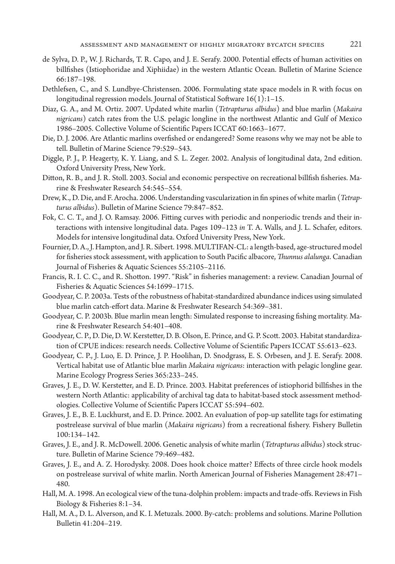- de Sylva, D. P., W. J. Richards, T. R. Capo, and J. E. Serafy. 2000. Potential effects of human activities on billfishes (Istiophoridae and Xiphiidae) in the western Atlantic Ocean. Bulletin of Marine Science 66:187–198.
- Dethlefsen, C., and S. Lundbye-Christensen. 2006. Formulating state space models in R with focus on longitudinal regression models. Journal of Statistical Software 16(1):1–15.
- Diaz, G. A., and M. Ortiz. 2007. Updated white marlin (*Tetrapturus albidus*) and blue marlin (*Makaira nigricans*) catch rates from the U.S. pelagic longline in the northwest Atlantic and Gulf of Mexico 1986–2005. Collective Volume of Scientific Papers ICCAT 60:1663–1677.
- Die, D. J. 2006. Are Atlantic marlins overfished or endangered? Some reasons why we may not be able to tell. Bulletin of Marine Science 79:529–543.
- Diggle, P. J., P. Heagerty, K. Y. Liang, and S. L. Zeger. 2002. Analysis of longitudinal data, 2nd edition. Oxford University Press, New York.
- Ditton, R. B., and J. R. Stoll. 2003. Social and economic perspective on recreational billfish fisheries. Marine & Freshwater Research 54:545–554.
- Drew, K., D. Die, and F. Arocha. 2006. Understanding vascularization in fin spines of white marlin (*Tetrapturus albidus*). Bulletin of Marine Science 79:847–852.
- Fok, C. C. T., and J. O. Ramsay. 2006. Fitting curves with periodic and nonperiodic trends and their interactions with intensive longitudinal data. Pages 109–123 *in* T. A. Walls, and J. L. Schafer, editors. Models for intensive longitudinal data. Oxford University Press, New York.
- Fournier, D. A., J. Hampton, and J. R. Sibert. 1998. MULTIFAN-CL: a length-based, age-structured model for fisheries stock assessment, with application to South Pacific albacore, *Thunnus alalunga*. Canadian Journal of Fisheries & Aquatic Sciences 55:2105–2116.
- Francis, R. I. C. C., and R. Shotton. 1997. "Risk" in fisheries management: a review. Canadian Journal of Fisheries & Aquatic Sciences 54:1699–1715.
- Goodyear, C. P. 2003a. Tests of the robustness of habitat-standardized abundance indices using simulated blue marlin catch-effort data. Marine & Freshwater Research 54:369–381.
- Goodyear, C. P. 2003b. Blue marlin mean length: Simulated response to increasing fishing mortality. Marine & Freshwater Research 54:401–408.
- Goodyear, C. P., D. Die, D. W. Kerstetter, D. B. Olson, E. Prince, and G. P. Scott. 2003. Habitat standardization of CPUE indices: research needs. Collective Volume of Scientific Papers ICCAT 55:613–623.
- Goodyear, C. P., J. Luo, E. D. Prince, J. P. Hoolihan, D. Snodgrass, E. S. Orbesen, and J. E. Serafy. 2008. Vertical habitat use of Atlantic blue marlin *Makaira nigricans*: interaction with pelagic longline gear. Marine Ecology Progress Series 365:233–245.
- Graves, J. E., D. W. Kerstetter, and E. D. Prince. 2003. Habitat preferences of istiophorid billfishes in the western North Atlantic: applicability of archival tag data to habitat-based stock assessment methodologies. Collective Volume of Scientific Papers ICCAT 55:594–602.
- Graves, J. E., B. E. Luckhurst, and E. D. Prince. 2002. An evaluation of pop-up satellite tags for estimating postrelease survival of blue marlin (*Makaira nigricans*) from a recreational fishery. Fishery Bulletin 100:134–142.
- Graves, J. E., and J. R. McDowell. 2006. Genetic analysis of white marlin (*Tetrapturus albidus*) stock structure. Bulletin of Marine Science 79:469–482.
- Graves, J. E., and A. Z. Horodysky. 2008. Does hook choice matter? Effects of three circle hook models on postrelease survival of white marlin. North American Journal of Fisheries Management 28:471– 480.
- Hall, M. A. 1998. An ecological view of the tuna-dolphin problem: impacts and trade-offs. Reviews in Fish Biology & Fisheries 8:1–34.
- Hall, M. A., D. L. Alverson, and K. I. Metuzals. 2000. By-catch: problems and solutions. Marine Pollution Bulletin 41:204–219.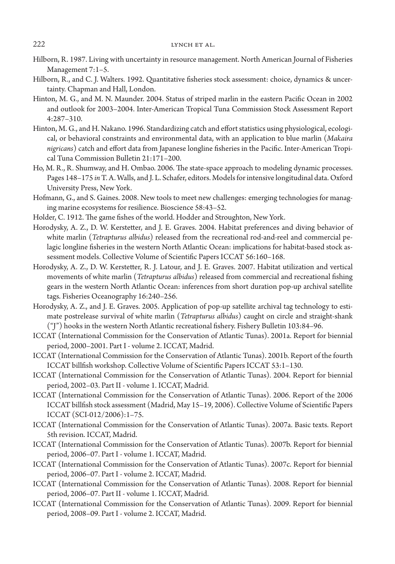- Hilborn, R. 1987. Living with uncertainty in resource management. North American Journal of Fisheries Management 7:1–5.
- Hilborn, R., and C. J. Walters. 1992. Quantitative fisheries stock assessment: choice, dynamics & uncertainty. Chapman and Hall, London.
- Hinton, M. G., and M. N. Maunder. 2004. Status of striped marlin in the eastern Pacific Ocean in 2002 and outlook for 2003–2004. Inter-American Tropical Tuna Commission Stock Assessment Report 4:287–310.
- Hinton, M. G., and H. Nakano. 1996. Standardizing catch and effort statistics using physiological, ecological, or behavioral constraints and environmental data, with an application to blue marlin (*Makaira nigricans*) catch and effort data from Japanese longline fisheries in the Pacific. Inter-American Tropical Tuna Commission Bulletin 21:171–200.
- Ho, M. R., R. Shumway, and H. Ombao. 2006. The state-space approach to modeling dynamic processes. Pages 148–175 *in* T. A. Walls, and J. L. Schafer, editors. Models for intensive longitudinal data. Oxford University Press, New York.
- Hofmann, G., and S. Gaines. 2008. New tools to meet new challenges: emerging technologies for managing marine ecosystems for resilience. Bioscience 58:43–52.
- Holder, C. 1912. The game fishes of the world. Hodder and Stroughton, New York.
- Horodysky, A. Z., D. W. Kerstetter, and J. E. Graves. 2004. Habitat preferences and diving behavior of white marlin (*Tetrapturus albidus*) released from the recreational rod-and-reel and commercial pelagic longline fisheries in the western North Atlantic Ocean: implications for habitat-based stock assessment models. Collective Volume of Scientific Papers ICCAT 56:160–168.
- Horodysky, A. Z., D. W. Kerstetter, R. J. Latour, and J. E. Graves. 2007. Habitat utilization and vertical movements of white marlin (*Tetrapturus albidus*) released from commercial and recreational fishing gears in the western North Atlantic Ocean: inferences from short duration pop-up archival satellite tags. Fisheries Oceanography 16:240–256.
- Horodysky, A. Z., and J. E. Graves. 2005. Application of pop-up satellite archival tag technology to estimate postrelease survival of white marlin (*Tetrapturus albidus*) caught on circle and straight-shank ("J") hooks in the western North Atlantic recreational fishery. Fishery Bulletin 103:84–96.
- ICCAT (International Commission for the Conservation of Atlantic Tunas). 2001a. Report for biennial period, 2000–2001. Part I - volume 2. ICCAT, Madrid.
- ICCAT (International Commission for the Conservation of Atlantic Tunas). 2001b. Report of the fourth ICCAT billfish workshop. Collective Volume of Scientific Papers ICCAT 53:1–130.
- ICCAT (International Commission for the Conservation of Atlantic Tunas). 2004. Report for biennial period, 2002–03. Part II - volume 1. ICCAT, Madrid.
- ICCAT (International Commission for the Conservation of Atlantic Tunas). 2006. Report of the 2006 ICCAT billfish stock assessment (Madrid, May 15–19, 2006). Collective Volume of Scientific Papers ICCAT (SCI-012/2006):1–75.
- ICCAT (International Commission for the Conservation of Atlantic Tunas). 2007a. Basic texts. Report 5th revision. ICCAT, Madrid.
- ICCAT (International Commission for the Conservation of Atlantic Tunas). 2007b. Report for biennial period, 2006–07. Part I - volume 1. ICCAT, Madrid.
- ICCAT (International Commission for the Conservation of Atlantic Tunas). 2007c. Report for biennial period, 2006–07. Part I - volume 2. ICCAT, Madrid.
- ICCAT (International Commission for the Conservation of Atlantic Tunas). 2008. Report for biennial period, 2006–07. Part II - volume 1. ICCAT, Madrid.
- ICCAT (International Commission for the Conservation of Atlantic Tunas). 2009. Report for biennial period, 2008–09. Part I - volume 2. ICCAT, Madrid.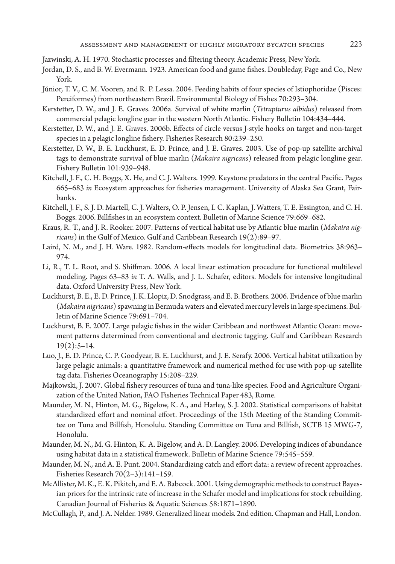Jazwinski, A. H. 1970. Stochastic processes and filtering theory. Academic Press, New York.

- Jordan, D. S., and B. W. Evermann. 1923. American food and game fishes. Doubleday, Page and Co., New York.
- Júnior, T. V., C. M. Vooren, and R. P. Lessa. 2004. Feeding habits of four species of Istiophoridae (Pisces: Perciformes) from northeastern Brazil. Environmental Biology of Fishes 70:293–304.
- Kerstetter, D. W., and J. E. Graves. 2006a. Survival of white marlin (*Tetrapturus albidus*) released from commercial pelagic longline gear in the western North Atlantic. Fishery Bulletin 104:434–444.
- Kerstetter, D. W., and J. E. Graves. 2006b. Effects of circle versus J-style hooks on target and non-target species in a pelagic longline fishery. Fisheries Research 80:239–250.
- Kerstetter, D. W., B. E. Luckhurst, E. D. Prince, and J. E. Graves. 2003. Use of pop-up satellite archival tags to demonstrate survival of blue marlin (*Makaira nigricans*) released from pelagic longline gear. Fishery Bulletin 101:939–948.
- Kitchell, J. F., C. H. Boggs, X. He, and C. J. Walters. 1999. Keystone predators in the central Pacific. Pages 665–683 *in* Ecosystem approaches for fisheries management. University of Alaska Sea Grant, Fairbanks.
- Kitchell, J. F., S. J. D. Martell, C. J. Walters, O. P. Jensen, I. C. Kaplan, J. Watters, T. E. Essington, and C. H. Boggs. 2006. Billfishes in an ecosystem context. Bulletin of Marine Science 79:669–682.
- Kraus, R. T., and J. R. Rooker. 2007. Patterns of vertical habitat use by Atlantic blue marlin (*Makaira nigricans*) in the Gulf of Mexico. Gulf and Caribbean Research 19(2):89–97.
- Laird, N. M., and J. H. Ware. 1982. Random-effects models for longitudinal data. Biometrics 38:963– 974.
- Li, R., T. L. Root, and S. Shiffman. 2006. A local linear estimation procedure for functional multilevel modeling. Pages 63–83 *in* T. A. Walls, and J. L. Schafer, editors. Models for intensive longitudinal data. Oxford University Press, New York.
- Luckhurst, B. E., E. D. Prince, J. K. Llopiz, D. Snodgrass, and E. B. Brothers. 2006. Evidence of blue marlin (*Makaira nigricans*) spawning in Bermuda waters and elevated mercury levels in large specimens. Bulletin of Marine Science 79:691–704.
- Luckhurst, B. E. 2007. Large pelagic fishes in the wider Caribbean and northwest Atlantic Ocean: movement patterns determined from conventional and electronic tagging. Gulf and Caribbean Research  $19(2):5-14.$
- Luo, J., E. D. Prince, C. P. Goodyear, B. E. Luckhurst, and J. E. Serafy. 2006. Vertical habitat utilization by large pelagic animals: a quantitative framework and numerical method for use with pop-up satellite tag data. Fisheries Oceanography 15:208–229.
- Majkowski, J. 2007. Global fishery resources of tuna and tuna-like species. Food and Agriculture Organization of the United Nation, FAO Fisheries Technical Paper 483, Rome.
- Maunder, M. N., Hinton, M. G., Bigelow, K. A., and Harley, S. J. 2002. Statistical comparisons of habitat standardized effort and nominal effort. Proceedings of the 15th Meeting of the Standing Committee on Tuna and Billfish, Honolulu. Standing Committee on Tuna and Billfish, SCTB 15 MWG-7, Honolulu.
- Maunder, M. N., M. G. Hinton, K. A. Bigelow, and A. D. Langley. 2006. Developing indices of abundance using habitat data in a statistical framework. Bulletin of Marine Science 79:545–559.
- Maunder, M. N., and A. E. Punt. 2004. Standardizing catch and effort data: a review of recent approaches. Fisheries Research 70(2–3):141–159.
- McAllister, M. K., E. K. Pikitch, and E. A. Babcock. 2001. Using demographic methods to construct Bayesian priors for the intrinsic rate of increase in the Schafer model and implications for stock rebuilding. Canadian Journal of Fisheries & Aquatic Sciences 58:1871–1890.
- McCullagh, P., and J. A. Nelder. 1989. Generalized linear models. 2nd edition. Chapman and Hall, London.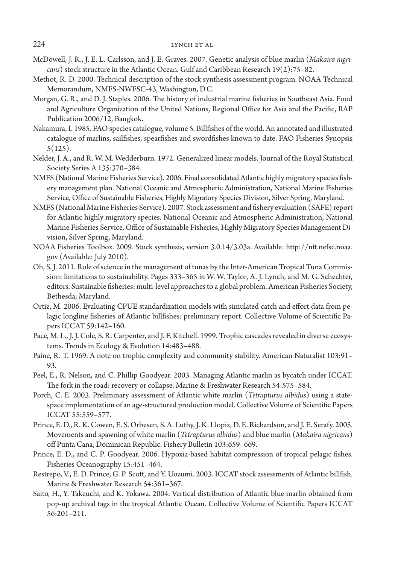- McDowell, J. R., J. E. L. Carlsson, and J. E. Graves. 2007. Genetic analysis of blue marlin (*Makaira nigricans*) stock structure in the Atlantic Ocean. Gulf and Caribbean Research 19(2):75–82.
- Methot, R. D. 2000. Technical description of the stock synthesis assessment program. NOAA Technical Memorandum, NMFS-NWFSC-43, Washington, D.C.
- Morgan, G. R., and D. J. Staples. 2006. The history of industrial marine fisheries in Southeast Asia. Food and Agriculture Organization of the United Nations, Regional Office for Asia and the Pacific, RAP Publication 2006/12, Bangkok.
- Nakamura, I. 1985. FAO species catalogue, volume 5. Billfishes of the world. An annotated and illustrated catalogue of marlins, sailfishes, spearfishes and swordfishes known to date. FAO Fisheries Synopsis 5(125).
- Nelder, J. A., and R. W. M. Wedderburn. 1972. Generalized linear models. Journal of the Royal Statistical Society Series A 135:370–384.
- NMFS (National Marine Fisheries Service). 2006. Final consolidated Atlantic highly migratory species fishery management plan. National Oceanic and Atmospheric Administration, National Marine Fisheries Service, Office of Sustainable Fisheries, Highly Migratory Species Division, Silver Spring, Maryland.
- NMFS (National Marine Fisheries Service). 2007. Stock assessment and fishery evaluation (SAFE) report for Atlantic highly migratory species. National Oceanic and Atmospheric Administration, National Marine Fisheries Service, Office of Sustainable Fisheries, Highly Migratory Species Management Division, Silver Spring, Maryland.
- NOAA Fisheries Toolbox. 2009. Stock synthesis, version 3.0.14/3.03a. Available: http://nft.nefsc.noaa. gov (Available: July 2010).
- Oh, S. J. 2011. Role of science in the management of tunas by the Inter-American Tropical Tuna Commission: limitations to sustainability. Pages 333–365 *in* W. W. Taylor, A. J. Lynch, and M. G. Schechter, editors. Sustainable fisheries: multi-level approaches to a global problem. American Fisheries Society, Bethesda, Maryland.
- Ortiz, M. 2006. Evaluating CPUE standardization models with simulated catch and effort data from pelagic longline fisheries of Atlantic billfishes: preliminary report. Collective Volume of Scientific Papers ICCAT 59:142–160.
- Pace, M. L., J. J. Cole, S. R. Carpenter, and J. F. Kitchell. 1999. Trophic cascades revealed in diverse ecosystems. Trends in Ecology & Evolution 14:483–488.
- Paine, R. T. 1969. A note on trophic complexity and community stability. American Naturalist 103:91– 93.
- Peel, E., R. Nelson, and C. Phillip Goodyear. 2003. Managing Atlantic marlin as bycatch under ICCAT. The fork in the road: recovery or collapse. Marine & Freshwater Research 54:575–584.
- Porch, C. E. 2003. Preliminary assessment of Atlantic white marlin (*Tetrapturus albidus*) using a statespace implementation of an age-structured production model. Collective Volume of Scientific Papers ICCAT 55:559–577.
- Prince, E. D., R. K. Cowen, E. S. Orbesen, S. A. Luthy, J. K. Llopiz, D. E. Richardson, and J. E. Serafy. 2005. Movements and spawning of white marlin (*Tetrapturus albidus*) and blue marlin (*Makaira nigricans*) off Punta Cana, Dominican Republic. Fishery Bulletin 103:659–669.
- Prince, E. D., and C. P. Goodyear. 2006. Hypoxia-based habitat compression of tropical pelagic fishes. Fisheries Oceanography 15:451–464.
- Restrepo, V., E. D. Prince, G. P. Scott, and Y. Uozumi. 2003. ICCAT stock assessments of Atlantic billfish. Marine & Freshwater Research 54:361–367.
- Saito, H., Y. Takeuchi, and K. Yokawa. 2004. Vertical distribution of Atlantic blue marlin obtained from pop-up archival tags in the tropical Atlantic Ocean. Collective Volume of Scientific Papers ICCAT 56:201–211.